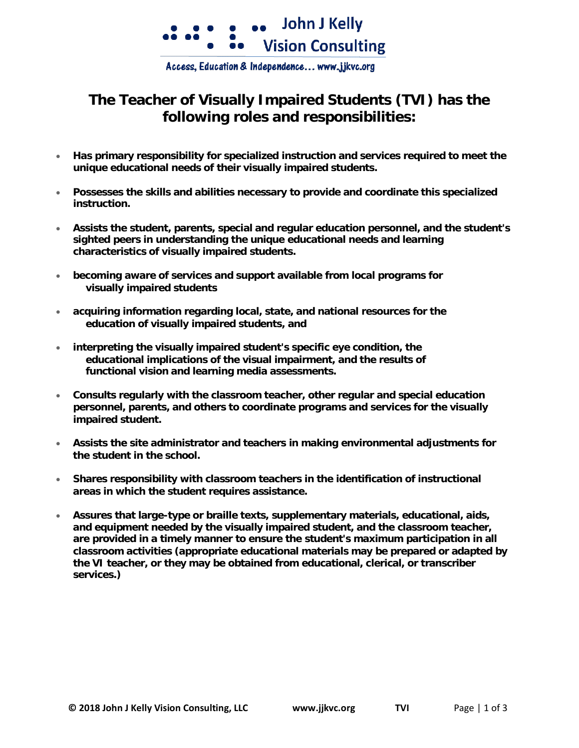

Access, Education & Independence... www.jjkvc.org

## **The Teacher of Visually Impaired Students (TVI) has the following roles and responsibilities:**

- **Has primary responsibility for specialized instruction and services required to meet the unique educational needs of their visually impaired students.**
- **Possesses the skills and abilities necessary to provide and coordinate this specialized instruction.**
- **Assists the student, parents, special and regular education personnel, and the student's sighted peers in understanding the unique educational needs and learning characteristics of visually impaired students.**
- **becoming aware of services and support available from local programs for visually impaired students**
- **acquiring information regarding local, state, and national resources for the education of visually impaired students, and**
- **interpreting the visually impaired student's specific eye condition, the educational implications of the visual impairment, and the results of functional vision and learning media assessments.**
- **Consults regularly with the classroom teacher, other regular and special education personnel, parents, and others to coordinate programs and services for the visually impaired student.**
- **Assists the site administrator and teachers in making environmental adjustments for the student in the school.**
- **Shares responsibility with classroom teachers in the identification of instructional areas in which the student requires assistance.**
- **Assures that large-type or braille texts, supplementary materials, educational, aids, and equipment needed by the visually impaired student, and the classroom teacher, are provided in a timely manner to ensure the student's maximum participation in all classroom activities (appropriate educational materials may be prepared or adapted by the VI teacher, or they may be obtained from educational, clerical, or transcriber services.)**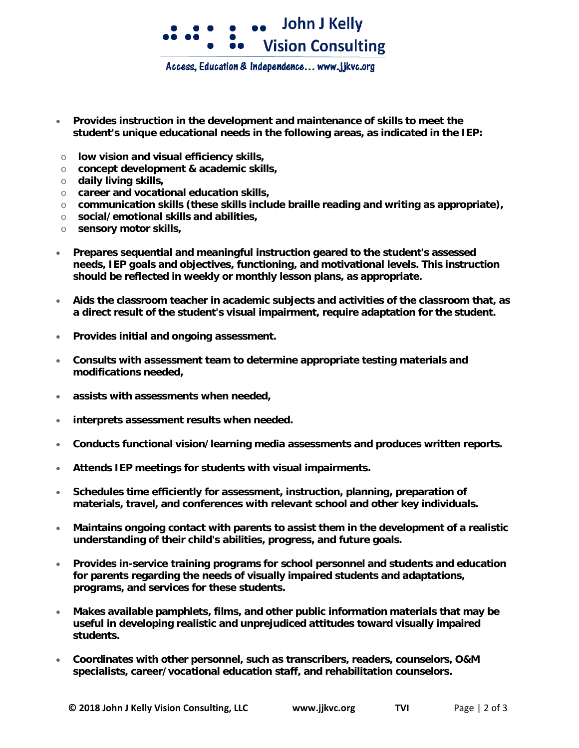

Access, Education & Independence... www.jjkvc.org

- **Provides instruction in the development and maintenance of skills to meet the student's unique educational needs in the following areas, as indicated in the IEP:**
- o **low vision and visual efficiency skills,**
- o **concept development & academic skills,**
- o **daily living skills,**
- o **career and vocational education skills,**
- o **communication skills (these skills include braille reading and writing as appropriate),**
- o **social/emotional skills and abilities,**
- o **sensory motor skills,**
- **Prepares sequential and meaningful instruction geared to the student's assessed needs, IEP goals and objectives, functioning, and motivational levels. This instruction should be reflected in weekly or monthly lesson plans, as appropriate.**
- **Aids the classroom teacher in academic subjects and activities of the classroom that, as a direct result of the student's visual impairment, require adaptation for the student.**
- **Provides initial and ongoing assessment.**
- **Consults with assessment team to determine appropriate testing materials and modifications needed,**
- **assists with assessments when needed,**
- **interprets assessment results when needed.**
- **Conducts functional vision/learning media assessments and produces written reports.**
- **Attends IEP meetings for students with visual impairments.**
- **Schedules time efficiently for assessment, instruction, planning, preparation of materials, travel, and conferences with relevant school and other key individuals.**
- **Maintains ongoing contact with parents to assist them in the development of a realistic understanding of their child's abilities, progress, and future goals.**
- **Provides in-service training programs for school personnel and students and education for parents regarding the needs of visually impaired students and adaptations, programs, and services for these students.**
- **Makes available pamphlets, films, and other public information materials that may be useful in developing realistic and unprejudiced attitudes toward visually impaired students.**
- **Coordinates with other personnel, such as transcribers, readers, counselors, O&M specialists, career/vocational education staff, and rehabilitation counselors.**